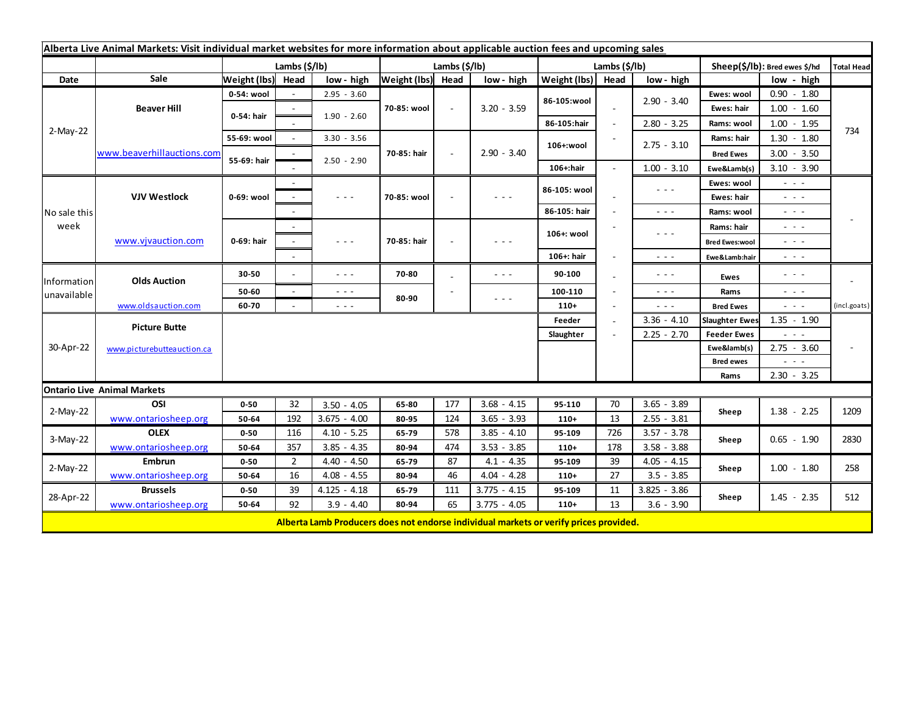| Alberta Live Animal Markets: Visit individual market websites for more information about applicable auction fees and upcoming sales |                                         |                           |                               |                                                                                                                        |                   |           |                                                                                       |                           |                          |                                                                                                                                    |                               |                                             |                   |
|-------------------------------------------------------------------------------------------------------------------------------------|-----------------------------------------|---------------------------|-------------------------------|------------------------------------------------------------------------------------------------------------------------|-------------------|-----------|---------------------------------------------------------------------------------------|---------------------------|--------------------------|------------------------------------------------------------------------------------------------------------------------------------|-------------------------------|---------------------------------------------|-------------------|
|                                                                                                                                     |                                         | Lambs $(\frac{2}{3})$ lb) |                               |                                                                                                                        | Lambs (\$/lb)     |           |                                                                                       | Lambs $(\frac{2}{3})$ lb) |                          |                                                                                                                                    | Sheep(\$/lb): Bred ewes \$/hd |                                             | <b>Total Head</b> |
| Date                                                                                                                                | Sale                                    | Weight (lbs) Head         |                               | low - high                                                                                                             | Weight (lbs) Head |           | low - high                                                                            | Weight (lbs)              | Head                     | low - high                                                                                                                         |                               | low - high                                  |                   |
| 2-May-22                                                                                                                            | <b>Beaver Hill</b>                      | 0-54: wool                |                               | $2.95 - 3.60$                                                                                                          | 70-85: wool       | $\sim$    | $3.20 - 3.59$                                                                         | 86-105:wool               |                          | $2.90 - 3.40$                                                                                                                      | Ewes: wool                    | $0.90 - 1.80$                               |                   |
|                                                                                                                                     |                                         | 0-54: hair                |                               |                                                                                                                        |                   |           |                                                                                       |                           | $\sim$                   |                                                                                                                                    | Ewes: hair                    | $1.00 - 1.60$                               |                   |
|                                                                                                                                     |                                         |                           |                               | $1.90 - 2.60$                                                                                                          |                   |           |                                                                                       | 86-105:hair               | $\overline{\phantom{a}}$ | $2.80 - 3.25$                                                                                                                      | Rams: wool                    | $1.00 - 1.95$                               |                   |
|                                                                                                                                     | www.beaverhillauctions.com              | 55-69: wool               |                               | $3.30 - 3.56$                                                                                                          | 70-85: hair       |           | $2.90 - 3.40$                                                                         | 106+:wool                 |                          | $2.75 - 3.10$                                                                                                                      | Rams: hair                    | $1.30 - 1.80$                               | 734               |
|                                                                                                                                     |                                         | 55-69: hair               |                               |                                                                                                                        |                   |           |                                                                                       |                           |                          |                                                                                                                                    | <b>Bred Ewes</b>              | $3.00 - 3.50$                               |                   |
|                                                                                                                                     |                                         |                           |                               | $2.50 - 2.90$                                                                                                          |                   |           |                                                                                       | 106+:hair                 |                          | $1.00 - 3.10$                                                                                                                      | Ewe&Lamb(s)                   | $3.10 - 3.90$                               |                   |
| No sale this<br>week                                                                                                                | <b>VJV Westlock</b>                     | 0-69: wool                |                               |                                                                                                                        |                   |           | - - -                                                                                 | 86-105: wool              |                          | $\sim$ $\sim$ $\sim$                                                                                                               | Ewes: wool                    | $\sim$ 100 $\pm$                            |                   |
|                                                                                                                                     |                                         |                           |                               | $\frac{1}{2} \left( \frac{1}{2} \right) \frac{1}{2} \left( \frac{1}{2} \right) \frac{1}{2} \left( \frac{1}{2} \right)$ | 70-85: wool       |           |                                                                                       |                           |                          |                                                                                                                                    | Ewes: hair                    | - - -                                       |                   |
|                                                                                                                                     |                                         |                           |                               |                                                                                                                        |                   |           |                                                                                       | 86-105: hair              |                          | $  -$                                                                                                                              | Rams: wool                    | $\sim$ 100 $\sim$                           |                   |
|                                                                                                                                     | www.vjvauction.com                      | 0-69: hair                |                               |                                                                                                                        | 70-85: hair       |           | - - -                                                                                 | 106+: wool                |                          | $\frac{1}{2} \left( \frac{1}{2} \right) \left( \frac{1}{2} \right) \left( \frac{1}{2} \right) \left( \frac{1}{2} \right)$<br>$  -$ | Rams: hair                    | $ -$                                        |                   |
|                                                                                                                                     |                                         |                           |                               | $\sim$ $\sim$ $\sim$                                                                                                   |                   |           |                                                                                       |                           |                          |                                                                                                                                    | <b>Bred Ewes:wool</b>         | $\omega_{\rm{eff}}$ and $\omega_{\rm{eff}}$ |                   |
|                                                                                                                                     |                                         |                           |                               |                                                                                                                        |                   |           |                                                                                       | 106+: hair                |                          |                                                                                                                                    | Ewe&Lamb:hair                 | - - -                                       |                   |
| Information<br>unavailable                                                                                                          | <b>Olds Auction</b>                     | 30-50                     |                               | $\sim$ $\sim$ $\sim$                                                                                                   | 70-80             |           | - - -                                                                                 | 90-100                    |                          | $\frac{1}{2} \left( \frac{1}{2} \right) \frac{1}{2} \left( \frac{1}{2} \right) \frac{1}{2} \left( \frac{1}{2} \right)$             | Ewes                          | $  -$                                       |                   |
|                                                                                                                                     |                                         | 50-60                     | $\sim$                        | $\sim$ $\sim$ $\sim$                                                                                                   | 80-90             |           |                                                                                       | 100-110                   |                          | $\frac{1}{2} \left( \frac{1}{2} \right) \frac{1}{2} \left( \frac{1}{2} \right) \frac{1}{2} \left( \frac{1}{2} \right)$             | Rams<br><b>Bred Ewes</b>      | $\sim$ 10 $\sim$                            |                   |
|                                                                                                                                     | www.oldsauction.com                     | 60-70                     |                               | $\sim$ $\sim$ $\sim$                                                                                                   |                   |           | $\sim$ $\sim$ $\sim$                                                                  | $110+$                    |                          | $\sim$ $\sim$ $\sim$                                                                                                               |                               | $\omega_{\rm{eff}}$ and $\omega_{\rm{eff}}$ | (incl.goats)      |
| 30-Apr-22                                                                                                                           | <b>Picture Butte</b>                    |                           | $3.36 - 4.10$<br>Feeder<br>÷. |                                                                                                                        |                   |           |                                                                                       |                           |                          |                                                                                                                                    |                               | $1.35 - 1.90$                               |                   |
|                                                                                                                                     |                                         |                           |                               |                                                                                                                        |                   |           |                                                                                       |                           |                          | $2.25 - 2.70$                                                                                                                      | <b>Feeder Ewes</b>            | $\sim$ $\sim$ $\sim$                        |                   |
|                                                                                                                                     | www.picturebutteauction.ca              |                           |                               |                                                                                                                        |                   |           |                                                                                       |                           |                          |                                                                                                                                    | Ewe&lamb(s)                   | $2.75 - 3.60$                               |                   |
|                                                                                                                                     |                                         |                           |                               |                                                                                                                        |                   |           |                                                                                       |                           |                          |                                                                                                                                    | <b>Bred ewes</b>              | $\sim 100$ km s $^{-1}$                     |                   |
|                                                                                                                                     |                                         |                           |                               |                                                                                                                        |                   |           |                                                                                       |                           |                          |                                                                                                                                    | Rams                          | $2.30 - 3.25$                               |                   |
|                                                                                                                                     | <b>Ontario Live Animal Markets</b>      |                           |                               |                                                                                                                        |                   |           |                                                                                       |                           |                          |                                                                                                                                    |                               |                                             |                   |
| $2-May-22$                                                                                                                          | OSI                                     | $0 - 50$                  | 32                            | $3.50 - 4.05$                                                                                                          | 65-80             | 177       | $3.68 - 4.15$                                                                         | 95-110                    | 70                       | $3.65 - 3.89$                                                                                                                      | Sheep                         | $1.38 - 2.25$                               | 1209              |
|                                                                                                                                     | www.ontariosheep.org                    | 50-64                     | 192                           | $3.675 - 4.00$                                                                                                         | 80-95             | 124       | $3.65 - 3.93$                                                                         | $110+$                    | 13                       | $2.55 - 3.81$                                                                                                                      |                               |                                             |                   |
| $3-May-22$                                                                                                                          | <b>OLEX</b>                             | $0 - 50$                  | 116                           | $4.10 - 5.25$                                                                                                          | 65-79             | 578       | $3.85 - 4.10$                                                                         | 95-109                    | 726                      | $3.57 - 3.78$                                                                                                                      | Sheep                         | $0.65 - 1.90$                               | 2830              |
|                                                                                                                                     | www.ontariosheep.org<br><b>Embrun</b>   | 50-64                     | 357                           | $3.85 - 4.35$                                                                                                          | 80-94             | 474<br>87 | $3.53 - 3.85$                                                                         | $110+$                    | 178                      | $3.58 - 3.88$<br>$4.05 - 4.15$                                                                                                     |                               |                                             |                   |
| 2-May-22<br>28-Apr-22                                                                                                               |                                         | $0 - 50$                  | $\overline{2}$<br>16          | $4.40 - 4.50$                                                                                                          | 65-79             | 46        | $4.1 - 4.35$                                                                          | 95-109                    | 39<br>27                 |                                                                                                                                    | Sheep                         | $1.00 - 1.80$                               | 258               |
|                                                                                                                                     | www.ontariosheep.org<br><b>Brussels</b> | 50-64                     | 39                            | $4.08 - 4.55$<br>$4.125 - 4.18$                                                                                        | 80-94             | 111       | $4.04 - 4.28$<br>$3.775 - 4.15$                                                       | $110+$                    | 11                       | $3.5 - 3.85$<br>$3.825 - 3.86$                                                                                                     |                               | $1.45 - 2.35$                               | 512               |
|                                                                                                                                     |                                         | $0 - 50$                  | 92                            |                                                                                                                        | 65-79<br>80-94    | 65        |                                                                                       | 95-109                    |                          |                                                                                                                                    | Sheep                         |                                             |                   |
|                                                                                                                                     | www.ontariosheep.org                    | 50-64                     |                               | $3.9 - 4.40$                                                                                                           |                   |           | $3.775 - 4.05$                                                                        | $110+$                    | 13                       | $3.6 - 3.90$                                                                                                                       |                               |                                             |                   |
|                                                                                                                                     |                                         |                           |                               |                                                                                                                        |                   |           | Alberta Lamb Producers does not endorse individual markets or verify prices provided. |                           |                          |                                                                                                                                    |                               |                                             |                   |